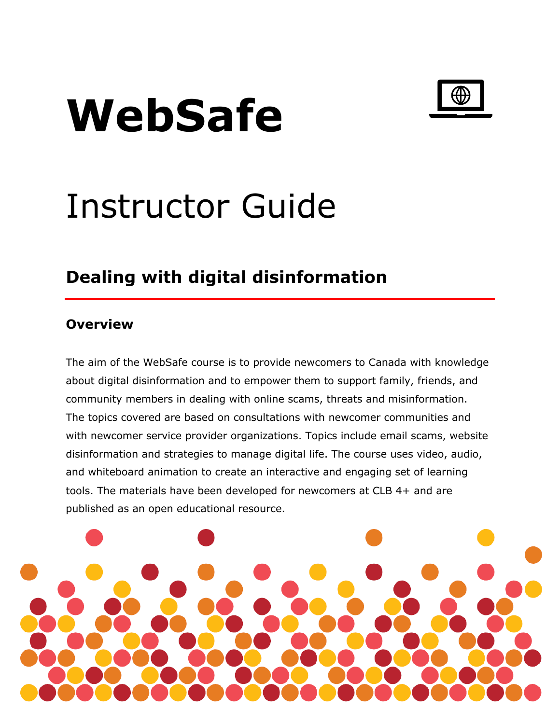# **WebSafe**



## Instructor Guide

## **Dealing with digital disinformation**

#### **Overview**

The aim of the WebSafe course is to provide newcomers to Canada with knowledge about digital disinformation and to empower them to support family, friends, and community members in dealing with online scams, threats and misinformation. The topics covered are based on consultations with newcomer communities and with newcomer service provider organizations. Topics include email scams, website disinformation and strategies to manage digital life. The course uses video, audio, and whiteboard animation to create an interactive and engaging set of learning tools. The materials have been developed for newcomers at CLB 4+ and are published as an open educational resource.

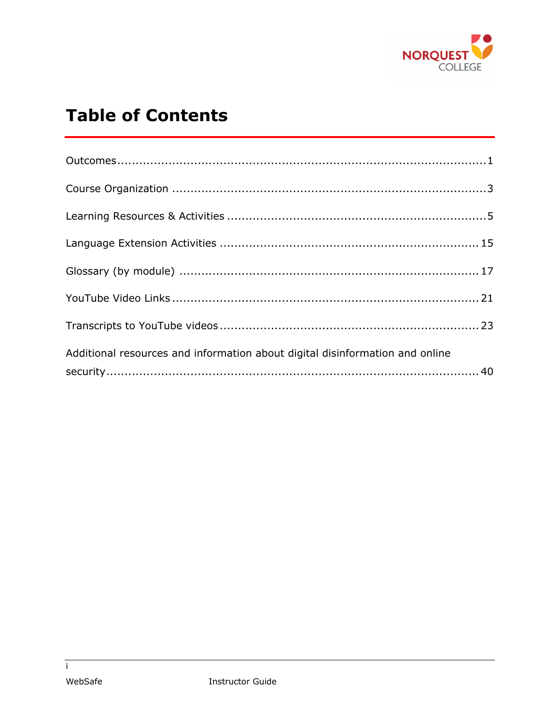

## **Table of Contents**

| Additional resources and information about digital disinformation and online |  |
|------------------------------------------------------------------------------|--|
|                                                                              |  |

 $\overline{1}$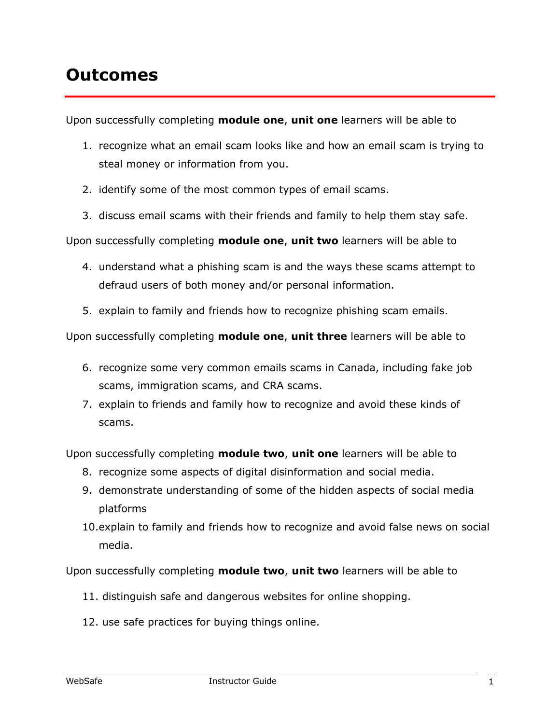## **Outcomes**

Upon successfully completing **module one**, **unit one** learners will be able to

- 1. recognize what an email scam looks like and how an email scam is trying to steal money or information from you.
- 2. identify some of the most common types of email scams.
- 3. discuss email scams with their friends and family to help them stay safe.

Upon successfully completing **module one**, **unit two** learners will be able to

- 4. understand what a phishing scam is and the ways these scams attempt to defraud users of both money and/or personal information.
- 5. explain to family and friends how to recognize phishing scam emails.

Upon successfully completing **module one**, **unit three** learners will be able to

- 6. recognize some very common emails scams in Canada, including fake job scams, immigration scams, and CRA scams.
- 7. explain to friends and family how to recognize and avoid these kinds of scams.

Upon successfully completing **module two**, **unit one** learners will be able to

- 8. recognize some aspects of digital disinformation and social media.
- 9. demonstrate understanding of some of the hidden aspects of social media platforms
- 10.explain to family and friends how to recognize and avoid false news on social media.

Upon successfully completing **module two**, **unit two** learners will be able to

- 11. distinguish safe and dangerous websites for online shopping.
- 12. use safe practices for buying things online.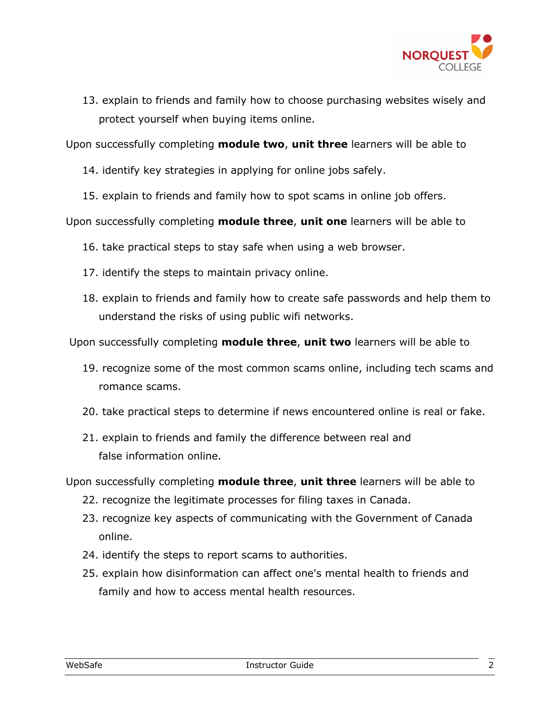

13. explain to friends and family how to choose purchasing websites wisely and protect yourself when buying items online.

Upon successfully completing **module two**, **unit three** learners will be able to

- 14. identify key strategies in applying for online jobs safely.
- 15. explain to friends and family how to spot scams in online job offers.

Upon successfully completing **module three**, **unit one** learners will be able to

16. take practical steps to stay safe when using a web browser.

- 17. identify the steps to maintain privacy online.
- 18. explain to friends and family how to create safe passwords and help them to understand the risks of using public wifi networks.

Upon successfully completing **module three**, **unit two** learners will be able to

- 19. recognize some of the most common scams online, including tech scams and romance scams.
- 20. take practical steps to determine if news encountered online is real or fake.
- 21. explain to friends and family the difference between real and false information online.

Upon successfully completing **module three**, **unit three** learners will be able to

- 22. recognize the legitimate processes for filing taxes in Canada.
- 23. recognize key aspects of communicating with the Government of Canada online.
- 24. identify the steps to report scams to authorities.
- 25. explain how disinformation can affect one's mental health to friends and family and how to access mental health resources.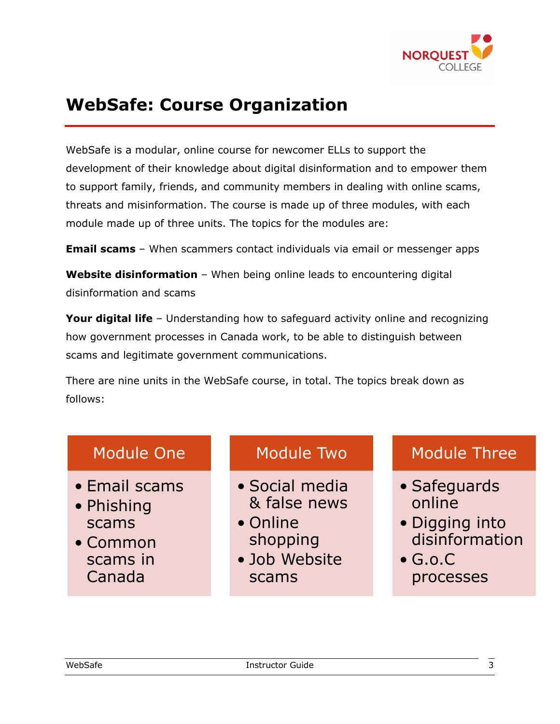

## **WebSafe: Course Organization**

WebSafe is a modular, online course for newcomer ELLs to support the development of their knowledge about digital disinformation and to empower them to support family, friends, and community members in dealing with online scams, threats and misinformation. The course is made up of three modules, with each module made up of three units. The topics for the modules are:

**Email scams** – When scammers contact individuals via email or messenger apps

**Website disinformation** - When being online leads to encountering digital disinformation and scams

**Your digital life** – Understanding how to safeguard activity online and recognizing how government processes in Canada work, to be able to distinguish between scams and legitimate government communications.

There are nine units in the WebSafe course, in total. The topics break down as follows:

#### Module One

- Email scams
- Phishing scams
- Common scams in Canada

#### Module Two

- Social media & false news
- Online shopping
- Job Website scams

#### Module Three

- Safeguards online
- Digging into disinformation
- $\bullet$  G.o.C processes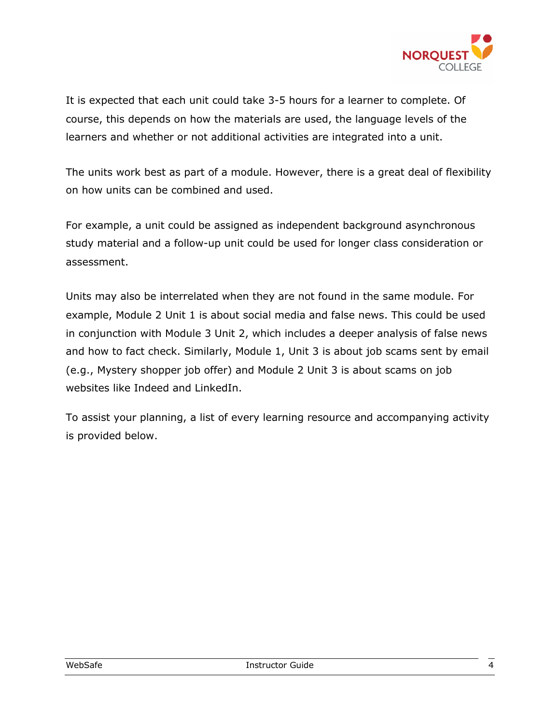

It is expected that each unit could take 3-5 hours for a learner to complete. Of course, this depends on how the materials are used, the language levels of the learners and whether or not additional activities are integrated into a unit.

The units work best as part of a module. However, there is a great deal of flexibility on how units can be combined and used.

For example, a unit could be assigned as independent background asynchronous study material and a follow-up unit could be used for longer class consideration or assessment.

Units may also be interrelated when they are not found in the same module. For example, Module 2 Unit 1 is about social media and false news. This could be used in conjunction with Module 3 Unit 2, which includes a deeper analysis of false news and how to fact check. Similarly, Module 1, Unit 3 is about job scams sent by email (e.g., Mystery shopper job offer) and Module 2 Unit 3 is about scams on job websites like Indeed and LinkedIn.

To assist your planning, a list of every learning resource and accompanying activity is provided below.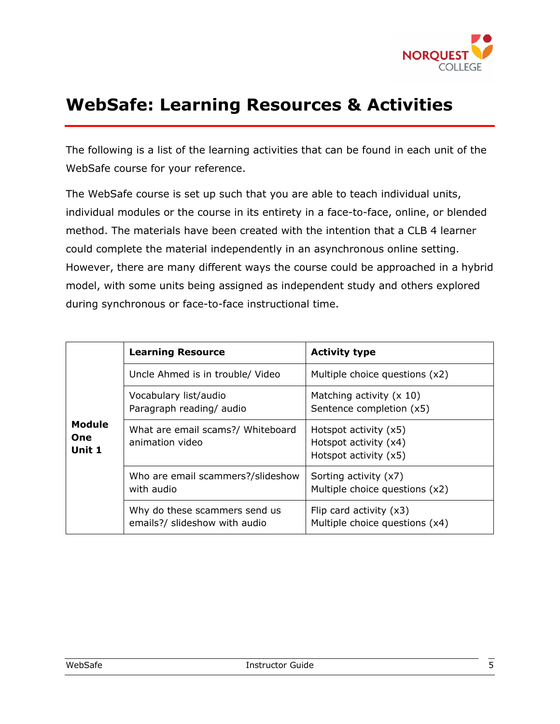

## **WebSafe: Learning Resources & Activities**

The following is a list of the learning activities that can be found in each unit of the WebSafe course for your reference.

The WebSafe course is set up such that you are able to teach individual units, individual modules or the course in its entirety in a face-to-face, online, or blended method. The materials have been created with the intention that a CLB 4 learner could complete the material independently in an asynchronous online setting. However, there are many different ways the course could be approached in a hybrid model, with some units being assigned as independent study and others explored during synchronous or face-to-face instructional time.

|                                       | <b>Learning Resource</b>                                       | <b>Activity type</b>                                                        |
|---------------------------------------|----------------------------------------------------------------|-----------------------------------------------------------------------------|
|                                       | Uncle Ahmed is in trouble/ Video                               | Multiple choice questions (x2)                                              |
|                                       | Vocabulary list/audio<br>Paragraph reading/ audio              | Matching activity $(x 10)$<br>Sentence completion (x5)                      |
| <b>Module</b><br><b>One</b><br>Unit 1 | What are email scams?/ Whiteboard<br>animation video           | Hotspot activity $(x5)$<br>Hotspot activity (x4)<br>Hotspot activity $(x5)$ |
|                                       | Who are email scammers?/slideshow<br>with audio                | Sorting activity (x7)<br>Multiple choice questions (x2)                     |
|                                       | Why do these scammers send us<br>emails?/ slideshow with audio | Flip card activity $(x3)$<br>Multiple choice questions (x4)                 |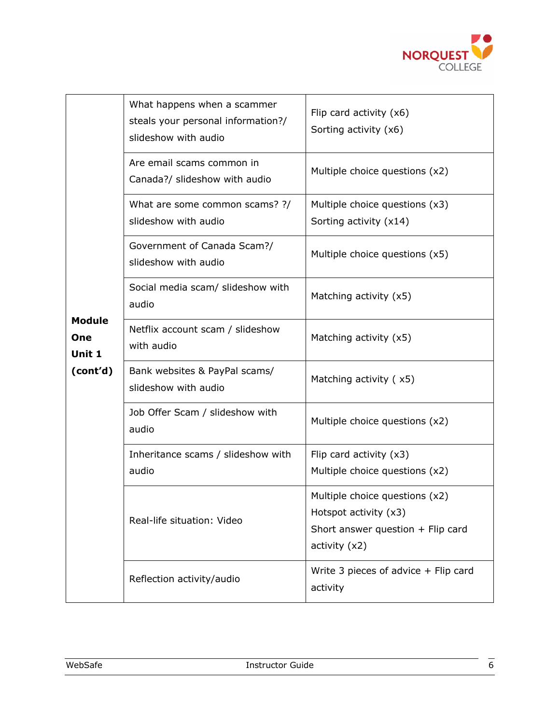

|                                            | What happens when a scammer<br>steals your personal information?/<br>slideshow with audio | Flip card activity $(x6)$<br>Sorting activity (x6)                                                              |
|--------------------------------------------|-------------------------------------------------------------------------------------------|-----------------------------------------------------------------------------------------------------------------|
|                                            | Are email scams common in<br>Canada?/ slideshow with audio                                | Multiple choice questions (x2)                                                                                  |
|                                            | What are some common scams? ?/<br>slideshow with audio                                    | Multiple choice questions (x3)<br>Sorting activity (x14)                                                        |
|                                            | Government of Canada Scam?/<br>slideshow with audio                                       | Multiple choice questions (x5)                                                                                  |
| <b>Module</b><br>One<br>Unit 1<br>(cont'd) | Social media scam/ slideshow with<br>audio                                                | Matching activity (x5)                                                                                          |
|                                            | Netflix account scam / slideshow<br>with audio                                            | Matching activity (x5)                                                                                          |
|                                            | Bank websites & PayPal scams/<br>slideshow with audio                                     | Matching activity (x5)                                                                                          |
|                                            | Job Offer Scam / slideshow with<br>audio                                                  | Multiple choice questions (x2)                                                                                  |
|                                            | Inheritance scams / slideshow with<br>audio                                               | Flip card activity $(x3)$<br>Multiple choice questions (x2)                                                     |
|                                            | Real-life situation: Video                                                                | Multiple choice questions (x2)<br>Hotspot activity (x3)<br>Short answer question + Flip card<br>activity $(x2)$ |
|                                            | Reflection activity/audio                                                                 | Write 3 pieces of advice $+$ Flip card<br>activity                                                              |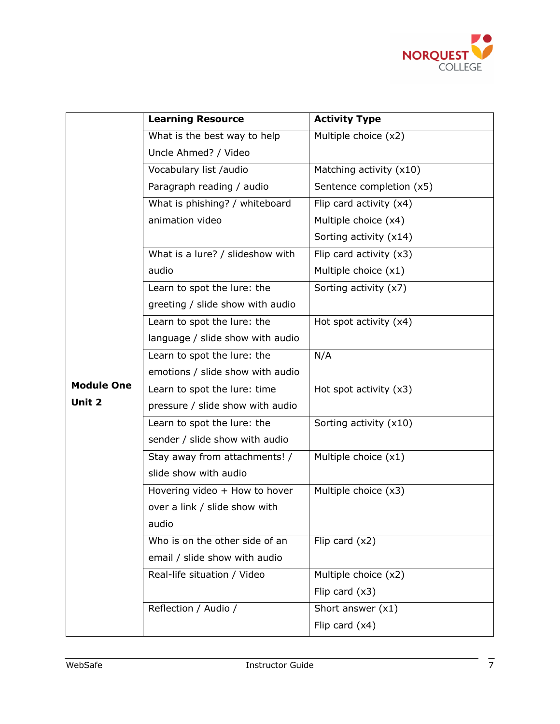

|                   | <b>Learning Resource</b>         | <b>Activity Type</b>      |
|-------------------|----------------------------------|---------------------------|
|                   | What is the best way to help     | Multiple choice (x2)      |
|                   | Uncle Ahmed? / Video             |                           |
|                   | Vocabulary list /audio           | Matching activity (x10)   |
|                   | Paragraph reading / audio        | Sentence completion (x5)  |
|                   | What is phishing? / whiteboard   | Flip card activity (x4)   |
|                   | animation video                  | Multiple choice (x4)      |
|                   |                                  | Sorting activity (x14)    |
|                   | What is a lure? / slideshow with | Flip card activity $(x3)$ |
|                   | audio                            | Multiple choice (x1)      |
|                   | Learn to spot the lure: the      | Sorting activity (x7)     |
|                   | greeting / slide show with audio |                           |
|                   | Learn to spot the lure: the      | Hot spot activity (x4)    |
|                   | language / slide show with audio |                           |
|                   | Learn to spot the lure: the      | N/A                       |
|                   | emotions / slide show with audio |                           |
| <b>Module One</b> | Learn to spot the lure: time     | Hot spot activity $(x3)$  |
| Unit 2            | pressure / slide show with audio |                           |
|                   | Learn to spot the lure: the      | Sorting activity (x10)    |
|                   | sender / slide show with audio   |                           |
|                   | Stay away from attachments! /    | Multiple choice (x1)      |
|                   | slide show with audio            |                           |
|                   | Hovering video + How to hover    | Multiple choice (x3)      |
|                   | over a link / slide show with    |                           |
|                   | audio                            |                           |
|                   | Who is on the other side of an   | Flip card $(x2)$          |
|                   | email / slide show with audio    |                           |
|                   | Real-life situation / Video      | Multiple choice $(x2)$    |
|                   |                                  | Flip card $(x3)$          |
|                   | Reflection / Audio /             | Short answer $(x1)$       |
|                   |                                  | Flip card $(x4)$          |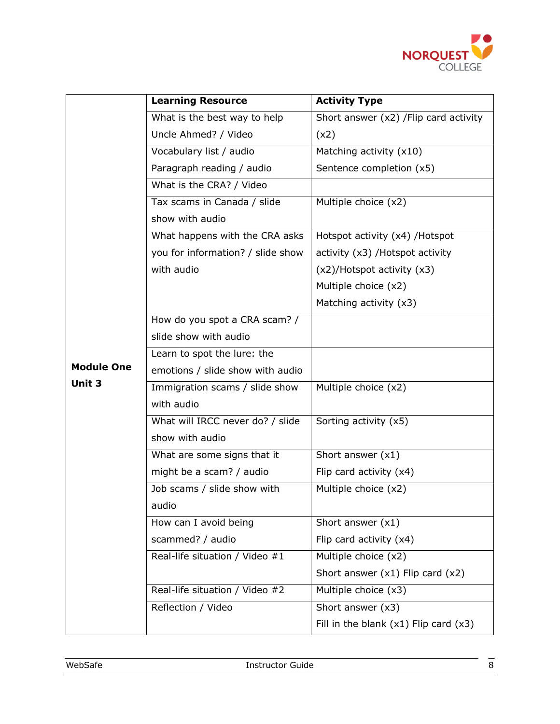

|                             | <b>Learning Resource</b>          | <b>Activity Type</b>                      |  |
|-----------------------------|-----------------------------------|-------------------------------------------|--|
|                             | What is the best way to help      | Short answer (x2) / Flip card activity    |  |
|                             | Uncle Ahmed? / Video              | (x2)                                      |  |
|                             | Vocabulary list / audio           | Matching activity (x10)                   |  |
|                             | Paragraph reading / audio         | Sentence completion (x5)                  |  |
|                             | What is the CRA? / Video          |                                           |  |
|                             | Tax scams in Canada / slide       | Multiple choice (x2)                      |  |
|                             | show with audio                   |                                           |  |
|                             | What happens with the CRA asks    | Hotspot activity (x4) / Hotspot           |  |
|                             | you for information? / slide show | activity (x3) / Hotspot activity          |  |
|                             | with audio                        | (x2)/Hotspot activity (x3)                |  |
|                             |                                   | Multiple choice (x2)                      |  |
|                             |                                   | Matching activity (x3)                    |  |
|                             | How do you spot a CRA scam? /     |                                           |  |
|                             | slide show with audio             |                                           |  |
|                             | Learn to spot the lure: the       |                                           |  |
| <b>Module One</b><br>Unit 3 | emotions / slide show with audio  |                                           |  |
|                             | Immigration scams / slide show    | Multiple choice (x2)                      |  |
|                             | with audio                        |                                           |  |
|                             | What will IRCC never do? / slide  | Sorting activity (x5)                     |  |
|                             | show with audio                   |                                           |  |
|                             | What are some signs that it       | Short answer $(x1)$                       |  |
|                             | might be a scam? / audio          | Flip card activity (x4)                   |  |
|                             | Job scams / slide show with       | Multiple choice (x2)                      |  |
|                             | audio                             |                                           |  |
|                             | How can I avoid being             | Short answer $(x1)$                       |  |
|                             | scammed? / audio                  | Flip card activity (x4)                   |  |
|                             | Real-life situation / Video #1    | Multiple choice (x2)                      |  |
|                             |                                   | Short answer $(x1)$ Flip card $(x2)$      |  |
|                             | Real-life situation / Video #2    | Multiple choice (x3)                      |  |
|                             | Reflection / Video                | Short answer $(x3)$                       |  |
|                             |                                   | Fill in the blank $(x1)$ Flip card $(x3)$ |  |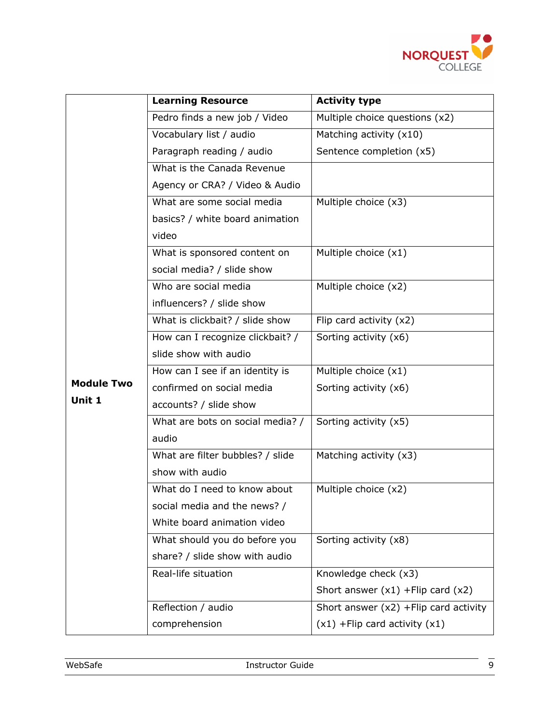

|                   | <b>Learning Resource</b>         | <b>Activity type</b>                    |  |
|-------------------|----------------------------------|-----------------------------------------|--|
|                   | Pedro finds a new job / Video    | Multiple choice questions (x2)          |  |
|                   | Vocabulary list / audio          | Matching activity (x10)                 |  |
|                   | Paragraph reading / audio        | Sentence completion (x5)                |  |
|                   | What is the Canada Revenue       |                                         |  |
|                   | Agency or CRA? / Video & Audio   |                                         |  |
|                   | What are some social media       | Multiple choice (x3)                    |  |
|                   | basics? / white board animation  |                                         |  |
|                   | video                            |                                         |  |
|                   | What is sponsored content on     | Multiple choice (x1)                    |  |
|                   | social media? / slide show       |                                         |  |
|                   | Who are social media             | Multiple choice (x2)                    |  |
|                   | influencers? / slide show        |                                         |  |
|                   | What is clickbait? / slide show  | Flip card activity $(x2)$               |  |
|                   | How can I recognize clickbait? / | Sorting activity (x6)                   |  |
|                   | slide show with audio            |                                         |  |
|                   | How can I see if an identity is  | Multiple choice $(x1)$                  |  |
| <b>Module Two</b> | confirmed on social media        | Sorting activity (x6)                   |  |
| Unit 1            | accounts? / slide show           |                                         |  |
|                   | What are bots on social media? / | Sorting activity (x5)                   |  |
|                   | audio                            |                                         |  |
|                   | What are filter bubbles? / slide | Matching activity (x3)                  |  |
|                   | show with audio                  |                                         |  |
|                   | What do I need to know about     | Multiple choice (x2)                    |  |
|                   | social media and the news? /     |                                         |  |
|                   | White board animation video      |                                         |  |
|                   | What should you do before you    | Sorting activity (x8)                   |  |
|                   | share? / slide show with audio   |                                         |  |
|                   | Real-life situation              | Knowledge check (x3)                    |  |
|                   |                                  | Short answer $(x1)$ +Flip card $(x2)$   |  |
|                   | Reflection / audio               | Short answer $(x2)$ +Flip card activity |  |
|                   | comprehension                    | $(x1)$ + Flip card activity $(x1)$      |  |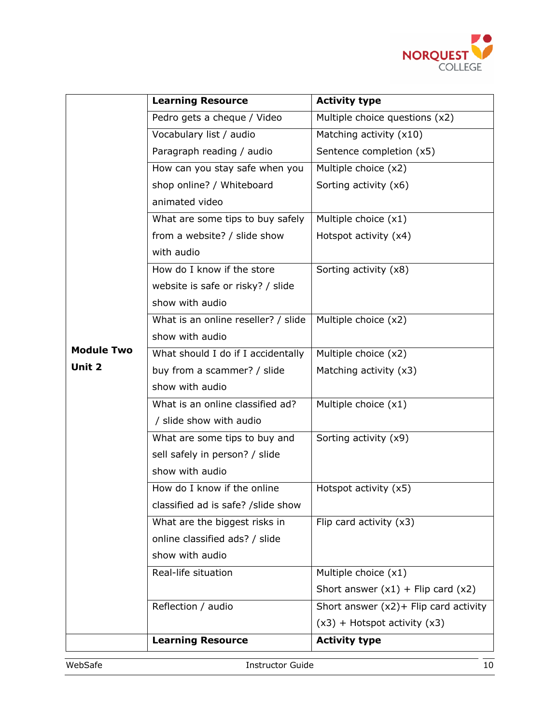

|                   | <b>Learning Resource</b>            | <b>Activity type</b>                     |  |
|-------------------|-------------------------------------|------------------------------------------|--|
|                   | Pedro gets a cheque / Video         | Multiple choice questions (x2)           |  |
|                   | Vocabulary list / audio             | Matching activity (x10)                  |  |
|                   | Paragraph reading / audio           | Sentence completion (x5)                 |  |
|                   | How can you stay safe when you      | Multiple choice $(x2)$                   |  |
|                   | shop online? / Whiteboard           | Sorting activity (x6)                    |  |
|                   | animated video                      |                                          |  |
|                   | What are some tips to buy safely    | Multiple choice (x1)                     |  |
|                   | from a website? / slide show        | Hotspot activity (x4)                    |  |
|                   | with audio                          |                                          |  |
|                   | How do I know if the store          | Sorting activity (x8)                    |  |
|                   | website is safe or risky? / slide   |                                          |  |
|                   | show with audio                     |                                          |  |
|                   | What is an online reseller? / slide | Multiple choice (x2)                     |  |
|                   | show with audio                     |                                          |  |
| <b>Module Two</b> | What should I do if I accidentally  | Multiple choice (x2)                     |  |
| Unit 2            | buy from a scammer? / slide         | Matching activity (x3)                   |  |
|                   | show with audio                     |                                          |  |
|                   | What is an online classified ad?    | Multiple choice (x1)                     |  |
|                   | / slide show with audio             |                                          |  |
|                   | What are some tips to buy and       | Sorting activity (x9)                    |  |
|                   | sell safely in person? / slide      |                                          |  |
|                   | show with audio                     |                                          |  |
|                   | How do I know if the online         | Hotspot activity (x5)                    |  |
|                   | classified ad is safe? /slide show  |                                          |  |
|                   | What are the biggest risks in       | Flip card activity $(x3)$                |  |
|                   | online classified ads? / slide      |                                          |  |
|                   | show with audio                     |                                          |  |
|                   | Real-life situation                 | Multiple choice (x1)                     |  |
|                   |                                     | Short answer $(x1)$ + Flip card $(x2)$   |  |
|                   | Reflection / audio                  | Short answer $(x2)$ + Flip card activity |  |
|                   |                                     | $(x3)$ + Hotspot activity $(x3)$         |  |
|                   | <b>Learning Resource</b>            | <b>Activity type</b>                     |  |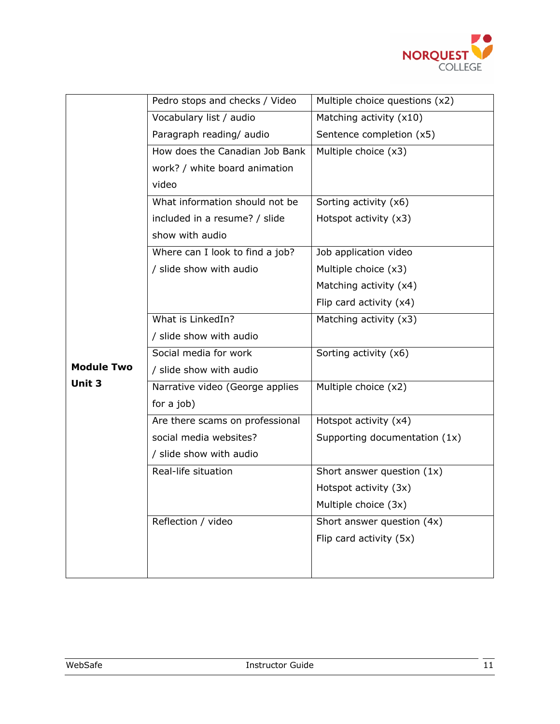

|                   | Pedro stops and checks / Video  | Multiple choice questions (x2) |
|-------------------|---------------------------------|--------------------------------|
|                   | Vocabulary list / audio         | Matching activity (x10)        |
|                   | Paragraph reading/ audio        | Sentence completion (x5)       |
|                   | How does the Canadian Job Bank  | Multiple choice (x3)           |
|                   | work? / white board animation   |                                |
|                   | video                           |                                |
|                   | What information should not be  | Sorting activity (x6)          |
|                   | included in a resume? / slide   | Hotspot activity (x3)          |
|                   | show with audio                 |                                |
|                   | Where can I look to find a job? | Job application video          |
|                   | / slide show with audio         | Multiple choice (x3)           |
|                   |                                 | Matching activity (x4)         |
|                   |                                 | Flip card activity (x4)        |
|                   | What is LinkedIn?               | Matching activity (x3)         |
|                   | / slide show with audio         |                                |
| <b>Module Two</b> | Social media for work           | Sorting activity (x6)          |
|                   | / slide show with audio         |                                |
| Unit 3            | Narrative video (George applies | Multiple choice (x2)           |
|                   | for a job)                      |                                |
|                   | Are there scams on professional | Hotspot activity (x4)          |
|                   | social media websites?          | Supporting documentation (1x)  |
|                   | / slide show with audio         |                                |
|                   | Real-life situation             | Short answer question (1x)     |
|                   |                                 | Hotspot activity (3x)          |
|                   |                                 | Multiple choice (3x)           |
|                   | Reflection / video              | Short answer question (4x)     |
|                   |                                 | Flip card activity (5x)        |
|                   |                                 |                                |
|                   |                                 |                                |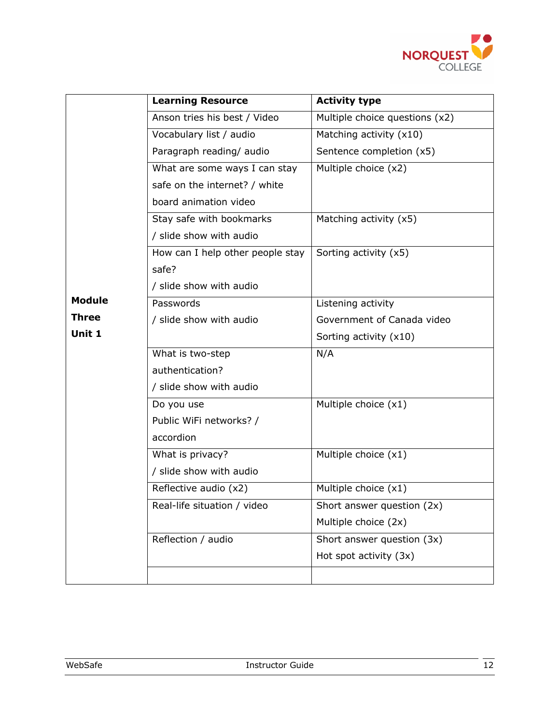

|               | <b>Learning Resource</b>         | <b>Activity type</b>           |  |
|---------------|----------------------------------|--------------------------------|--|
|               | Anson tries his best / Video     | Multiple choice questions (x2) |  |
|               | Vocabulary list / audio          | Matching activity (x10)        |  |
|               | Paragraph reading/ audio         | Sentence completion (x5)       |  |
|               | What are some ways I can stay    | Multiple choice (x2)           |  |
|               | safe on the internet? / white    |                                |  |
|               | board animation video            |                                |  |
|               | Stay safe with bookmarks         | Matching activity (x5)         |  |
|               | / slide show with audio          |                                |  |
|               | How can I help other people stay | Sorting activity (x5)          |  |
|               | safe?                            |                                |  |
|               | / slide show with audio          |                                |  |
| <b>Module</b> | Passwords                        | Listening activity             |  |
| <b>Three</b>  | / slide show with audio          | Government of Canada video     |  |
| Unit 1        |                                  | Sorting activity (x10)         |  |
|               | What is two-step                 | N/A                            |  |
|               | authentication?                  |                                |  |
|               | / slide show with audio          |                                |  |
|               | Do you use                       | Multiple choice $(x1)$         |  |
|               | Public WiFi networks? /          |                                |  |
|               | accordion                        |                                |  |
|               | What is privacy?                 | Multiple choice (x1)           |  |
|               | / slide show with audio          |                                |  |
|               | Reflective audio (x2)            | Multiple choice (x1)           |  |
|               | Real-life situation / video      | Short answer question (2x)     |  |
|               |                                  | Multiple choice (2x)           |  |
|               | Reflection / audio               | Short answer question (3x)     |  |
|               |                                  | Hot spot activity (3x)         |  |
|               |                                  |                                |  |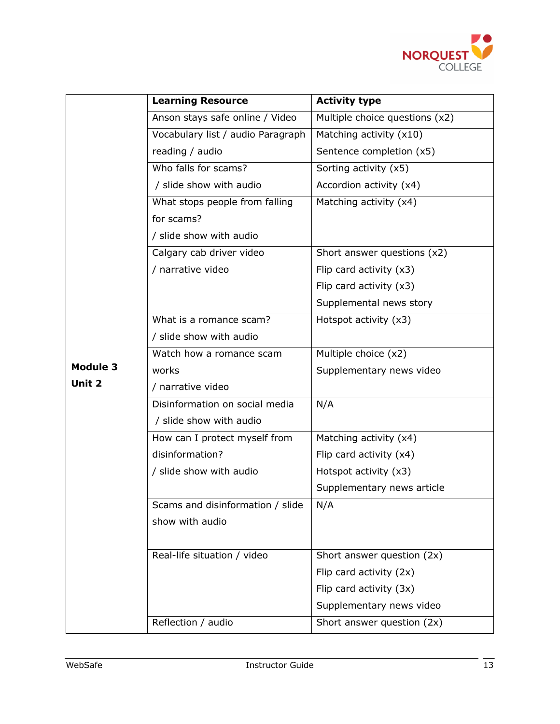

|          | <b>Learning Resource</b>          | <b>Activity type</b>           |  |
|----------|-----------------------------------|--------------------------------|--|
|          | Anson stays safe online / Video   | Multiple choice questions (x2) |  |
|          | Vocabulary list / audio Paragraph | Matching activity (x10)        |  |
|          | reading / audio                   | Sentence completion (x5)       |  |
|          | Who falls for scams?              | Sorting activity (x5)          |  |
|          | / slide show with audio           | Accordion activity (x4)        |  |
|          | What stops people from falling    | Matching activity (x4)         |  |
|          | for scams?                        |                                |  |
|          | / slide show with audio           |                                |  |
|          | Calgary cab driver video          | Short answer questions (x2)    |  |
|          | / narrative video                 | Flip card activity $(x3)$      |  |
|          |                                   | Flip card activity $(x3)$      |  |
|          |                                   | Supplemental news story        |  |
|          | What is a romance scam?           | Hotspot activity $(x3)$        |  |
|          | / slide show with audio           |                                |  |
|          | Watch how a romance scam          | Multiple choice (x2)           |  |
| Module 3 | works                             | Supplementary news video       |  |
| Unit 2   | / narrative video                 |                                |  |
|          | Disinformation on social media    | N/A                            |  |
|          | / slide show with audio           |                                |  |
|          | How can I protect myself from     | Matching activity (x4)         |  |
|          | disinformation?                   | Flip card activity (x4)        |  |
|          | / slide show with audio           | Hotspot activity (x3)          |  |
|          |                                   | Supplementary news article     |  |
|          | Scams and disinformation / slide  | N/A                            |  |
|          | show with audio                   |                                |  |
|          |                                   |                                |  |
|          | Real-life situation / video       | Short answer question (2x)     |  |
|          |                                   | Flip card activity (2x)        |  |
|          |                                   | Flip card activity (3x)        |  |
|          |                                   | Supplementary news video       |  |
|          | Reflection / audio                | Short answer question (2x)     |  |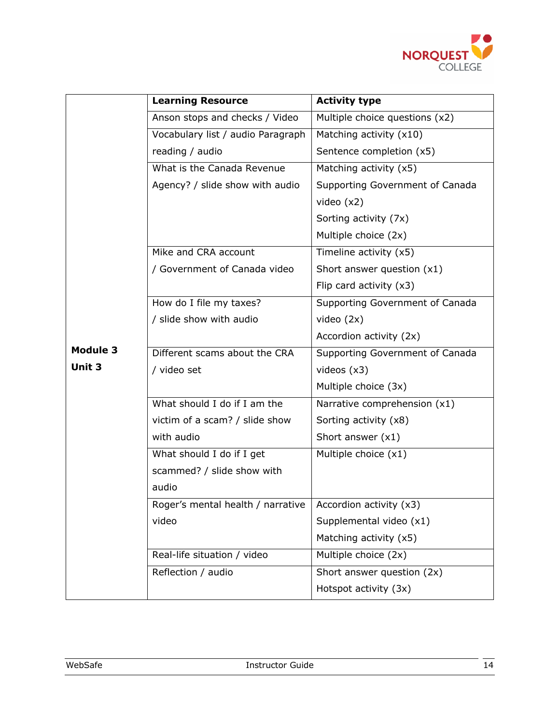

|                 | <b>Learning Resource</b>          | <b>Activity type</b>            |  |
|-----------------|-----------------------------------|---------------------------------|--|
|                 | Anson stops and checks / Video    | Multiple choice questions (x2)  |  |
|                 | Vocabulary list / audio Paragraph | Matching activity (x10)         |  |
|                 | reading / audio                   | Sentence completion (x5)        |  |
|                 | What is the Canada Revenue        | Matching activity (x5)          |  |
|                 | Agency? / slide show with audio   | Supporting Government of Canada |  |
|                 |                                   | video $(x2)$                    |  |
|                 |                                   | Sorting activity (7x)           |  |
|                 |                                   | Multiple choice (2x)            |  |
|                 | Mike and CRA account              | Timeline activity (x5)          |  |
|                 | / Government of Canada video      | Short answer question (x1)      |  |
|                 |                                   | Flip card activity $(x3)$       |  |
|                 | How do I file my taxes?           | Supporting Government of Canada |  |
|                 | / slide show with audio           | video $(2x)$                    |  |
|                 |                                   | Accordion activity (2x)         |  |
| <b>Module 3</b> | Different scams about the CRA     | Supporting Government of Canada |  |
| Unit 3          | / video set                       | videos $(x3)$                   |  |
|                 |                                   | Multiple choice (3x)            |  |
|                 | What should I do if I am the      | Narrative comprehension (x1)    |  |
|                 | victim of a scam? / slide show    | Sorting activity (x8)           |  |
|                 | with audio                        | Short answer $(x1)$             |  |
|                 | What should I do if I get         | Multiple choice $(x1)$          |  |
|                 | scammed? / slide show with        |                                 |  |
|                 | audio                             |                                 |  |
|                 | Roger's mental health / narrative | Accordion activity (x3)         |  |
|                 | video                             | Supplemental video (x1)         |  |
|                 |                                   | Matching activity (x5)          |  |
|                 | Real-life situation / video       | Multiple choice (2x)            |  |
|                 | Reflection / audio                | Short answer question (2x)      |  |
|                 |                                   | Hotspot activity (3x)           |  |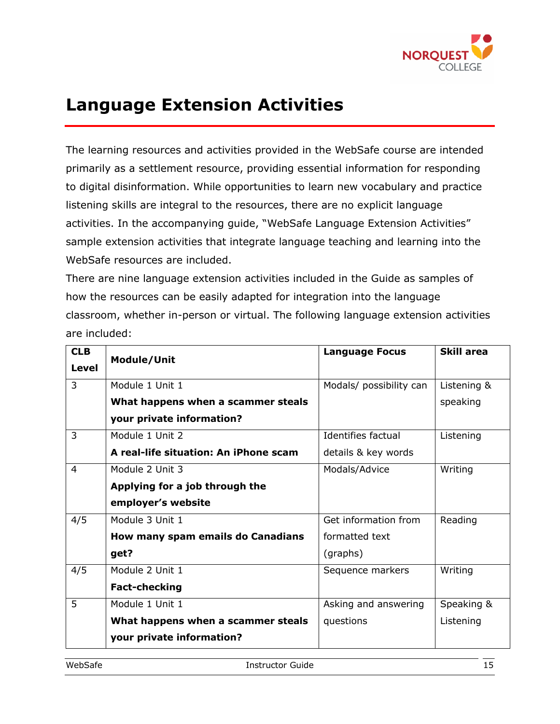

## **Language Extension Activities**

The learning resources and activities provided in the WebSafe course are intended primarily as a settlement resource, providing essential information for responding to digital disinformation. While opportunities to learn new vocabulary and practice listening skills are integral to the resources, there are no explicit language activities. In the accompanying guide, "WebSafe Language Extension Activities" sample extension activities that integrate language teaching and learning into the WebSafe resources are included.

There are nine language extension activities included in the Guide as samples of how the resources can be easily adapted for integration into the language classroom, whether in-person or virtual. The following language extension activities are included:

| <b>CLB</b> | Module/Unit                           | <b>Language Focus</b>   | <b>Skill area</b> |
|------------|---------------------------------------|-------------------------|-------------------|
| Level      |                                       |                         |                   |
| 3          | Module 1 Unit 1                       | Modals/ possibility can | Listening &       |
|            | What happens when a scammer steals    |                         | speaking          |
|            | your private information?             |                         |                   |
| 3          | Module 1 Unit 2                       | Identifies factual      | Listening         |
|            | A real-life situation: An iPhone scam | details & key words     |                   |
| 4          | Module 2 Unit 3                       | Modals/Advice           | Writing           |
|            | Applying for a job through the        |                         |                   |
|            | employer's website                    |                         |                   |
| 4/5        | Module 3 Unit 1                       | Get information from    | Reading           |
|            | How many spam emails do Canadians     | formatted text          |                   |
|            | get?                                  | (graphs)                |                   |
| 4/5        | Module 2 Unit 1                       | Sequence markers        | Writing           |
|            | <b>Fact-checking</b>                  |                         |                   |
| 5          | Module 1 Unit 1                       | Asking and answering    | Speaking &        |
|            | What happens when a scammer steals    | questions               | Listening         |
|            | your private information?             |                         |                   |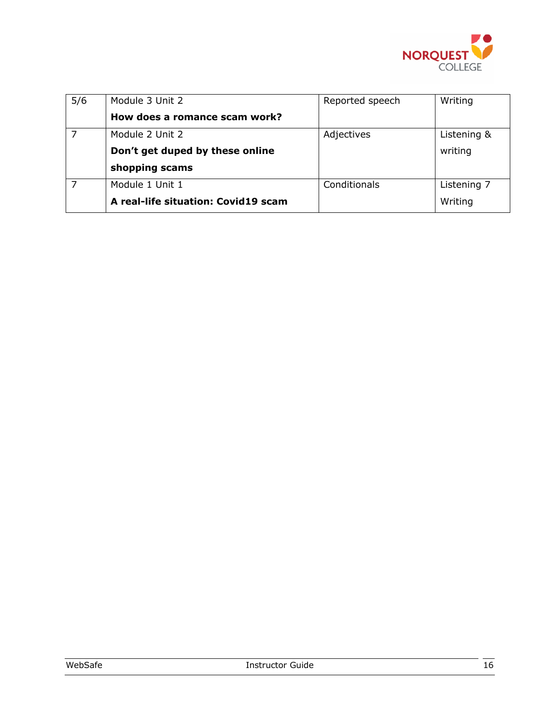

| 5/6 | Module 3 Unit 2                     | Reported speech | Writing     |
|-----|-------------------------------------|-----------------|-------------|
|     | How does a romance scam work?       |                 |             |
|     | Module 2 Unit 2                     | Adjectives      | Listening & |
|     | Don't get duped by these online     |                 | writing     |
|     | shopping scams                      |                 |             |
|     | Module 1 Unit 1                     | Conditionals    | Listening 7 |
|     | A real-life situation: Covid19 scam |                 | Writing     |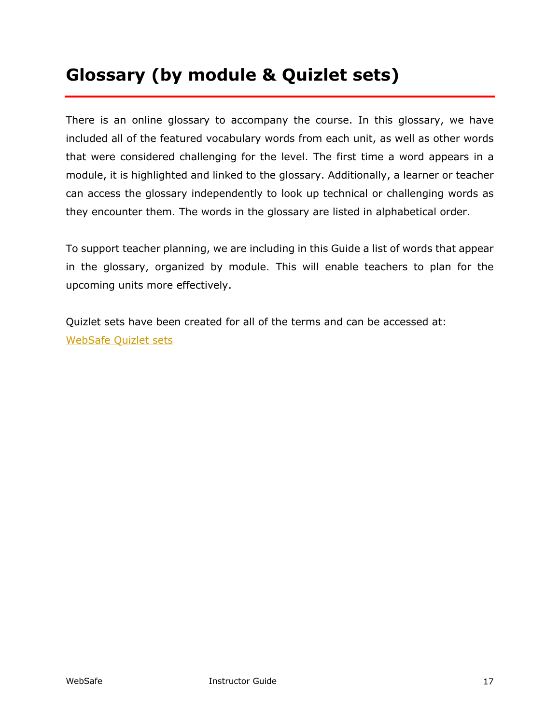## **Glossary (by module & Quizlet sets)**

There is an online glossary to accompany the course. In this glossary, we have included all of the featured vocabulary words from each unit, as well as other words that were considered challenging for the level. The first time a word appears in a module, it is highlighted and linked to the glossary. Additionally, a learner or teacher can access the glossary independently to look up technical or challenging words as they encounter them. The words in the glossary are listed in alphabetical order.

To support teacher planning, we are including in this Guide a list of words that appear in the glossary, organized by module. This will enable teachers to plan for the upcoming units more effectively.

Quizlet sets have been created for all of the terms and can be accessed at: WebSafe Quizlet sets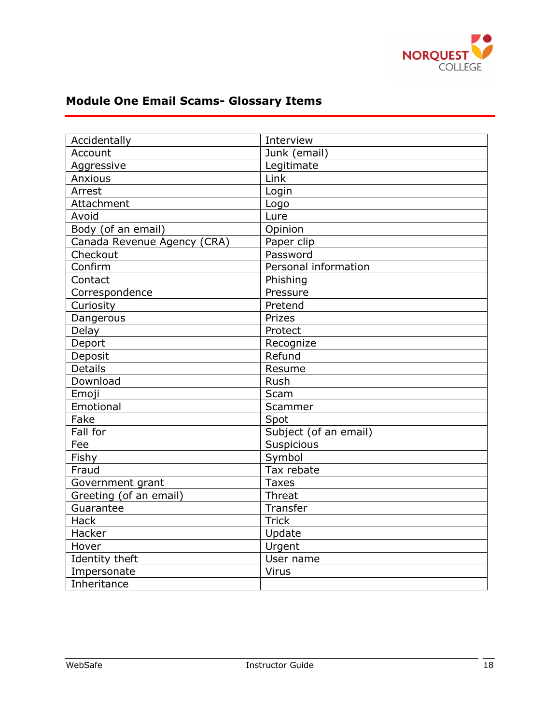

#### **Module One Email Scams- Glossary Items**

| Accidentally                | Interview             |
|-----------------------------|-----------------------|
| Account                     | Junk (email)          |
| Aggressive                  | Legitimate            |
| Anxious                     | Link                  |
| Arrest                      | Login                 |
| Attachment                  | Logo                  |
| Avoid                       | Lure                  |
| Body (of an email)          | Opinion               |
| Canada Revenue Agency (CRA) | Paper clip            |
| Checkout                    | Password              |
| Confirm                     | Personal information  |
| Contact                     | Phishing              |
| Correspondence              | Pressure              |
| Curiosity                   | Pretend               |
| Dangerous                   | Prizes                |
| Delay                       | Protect               |
| Deport                      | Recognize             |
| Deposit                     | Refund                |
| <b>Details</b>              | Resume                |
| Download                    | Rush                  |
| Emoji                       | Scam                  |
| Emotional                   | Scammer               |
| Fake                        | Spot                  |
| Fall for                    | Subject (of an email) |
| Fee                         | Suspicious            |
| Fishy                       | Symbol                |
| Fraud                       | Tax rebate            |
| Government grant            | <b>Taxes</b>          |
| Greeting (of an email)      | Threat                |
| Guarantee                   | <b>Transfer</b>       |
| Hack                        | <b>Trick</b>          |
| Hacker                      | Update                |
| Hover                       | Urgent                |
| Identity theft              | User name             |
| Impersonate                 | Virus                 |
| Inheritance                 |                       |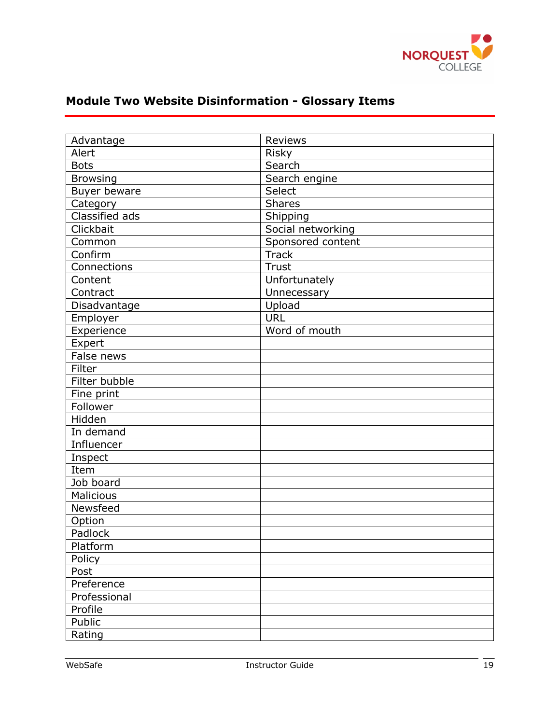

| Advantage        | <b>Reviews</b>    |
|------------------|-------------------|
| Alert            | Risky             |
| <b>Bots</b>      | Search            |
| <b>Browsing</b>  | Search engine     |
| Buyer beware     | Select            |
| Category         | <b>Shares</b>     |
| Classified ads   | Shipping          |
| Clickbait        | Social networking |
| Common           | Sponsored content |
| Confirm          | <b>Track</b>      |
| Connections      | <b>Trust</b>      |
| Content          | Unfortunately     |
| Contract         | Unnecessary       |
| Disadvantage     | Upload            |
| Employer         | <b>URL</b>        |
| Experience       | Word of mouth     |
| Expert           |                   |
| False news       |                   |
| Filter           |                   |
| Filter bubble    |                   |
| Fine print       |                   |
| Follower         |                   |
| Hidden           |                   |
| In demand        |                   |
| Influencer       |                   |
| Inspect          |                   |
| Item             |                   |
| Job board        |                   |
| <b>Malicious</b> |                   |
| Newsfeed         |                   |
| Option           |                   |
| Padlock          |                   |
| Platform         |                   |
| Policy           |                   |
| Post             |                   |
| Preference       |                   |
| Professional     |                   |
| Profile          |                   |
| Public           |                   |
| Rating           |                   |

#### **Module Two Website Disinformation - Glossary Items**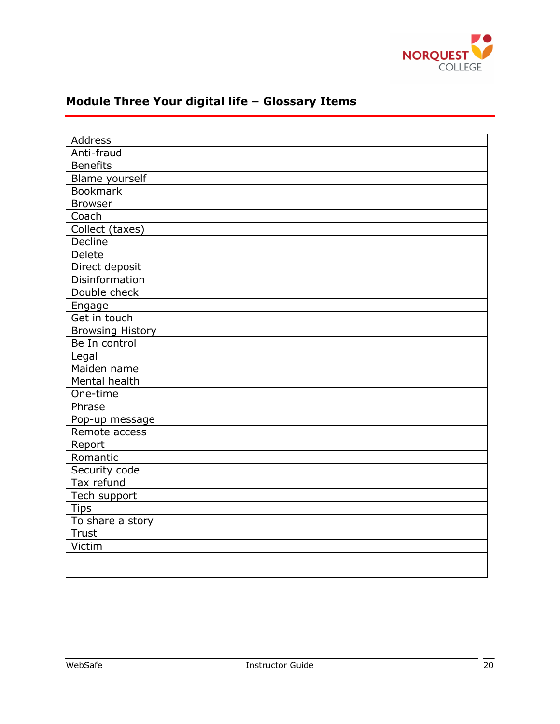

| <b>Address</b>          |  |  |  |  |
|-------------------------|--|--|--|--|
|                         |  |  |  |  |
| Anti-fraud              |  |  |  |  |
| <b>Benefits</b>         |  |  |  |  |
| Blame yourself          |  |  |  |  |
| <b>Bookmark</b>         |  |  |  |  |
| <b>Browser</b>          |  |  |  |  |
| Coach                   |  |  |  |  |
| Collect (taxes)         |  |  |  |  |
| Decline                 |  |  |  |  |
| Delete                  |  |  |  |  |
| Direct deposit          |  |  |  |  |
| Disinformation          |  |  |  |  |
| Double check            |  |  |  |  |
| Engage                  |  |  |  |  |
| Get in touch            |  |  |  |  |
| <b>Browsing History</b> |  |  |  |  |
| Be In control           |  |  |  |  |
| Legal                   |  |  |  |  |
| Maiden name             |  |  |  |  |
| Mental health           |  |  |  |  |
| One-time                |  |  |  |  |
| Phrase                  |  |  |  |  |
| Pop-up message          |  |  |  |  |
| Remote access           |  |  |  |  |
| Report                  |  |  |  |  |
| Romantic                |  |  |  |  |
| Security code           |  |  |  |  |
| Tax refund              |  |  |  |  |
| Tech support            |  |  |  |  |
| <b>Tips</b>             |  |  |  |  |
| To share a story        |  |  |  |  |
| <b>Trust</b>            |  |  |  |  |
| Victim                  |  |  |  |  |
|                         |  |  |  |  |
|                         |  |  |  |  |

#### **Module Three Your digital life – Glossary Items**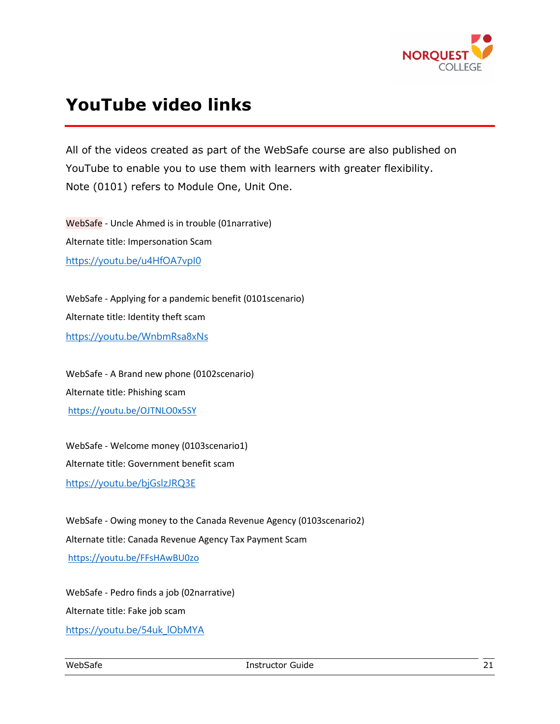

## **YouTube video links**

All of the videos created as part of the WebSafe course are also published on YouTube to enable you to use them with learners with greater flexibility. Note (0101) refers to Module One, Unit One.

WebSafe - Uncle Ahmed is in trouble (01narrative) Alternate title: Impersonation Scam https://youtu.be/u4HfOA7vpI0

WebSafe - Applying for a pandemic benefit (0101scenario) Alternate title: Identity theft scam https://youtu.be/WnbmRsa8xNs

WebSafe - A Brand new phone (0102scenario) Alternate title: Phishing scam https://youtu.be/OJTNLO0x5SY

WebSafe - Welcome money (0103scenario1) Alternate title: Government benefit scam https://youtu.be/bjGslzJRQ3E

WebSafe - Owing money to the Canada Revenue Agency (0103scenario2) Alternate title: Canada Revenue Agency Tax Payment Scam https://youtu.be/FFsHAwBU0zo

WebSafe - Pedro finds a job (02narrative) Alternate title: Fake job scam https://youtu.be/54uk\_lObMYA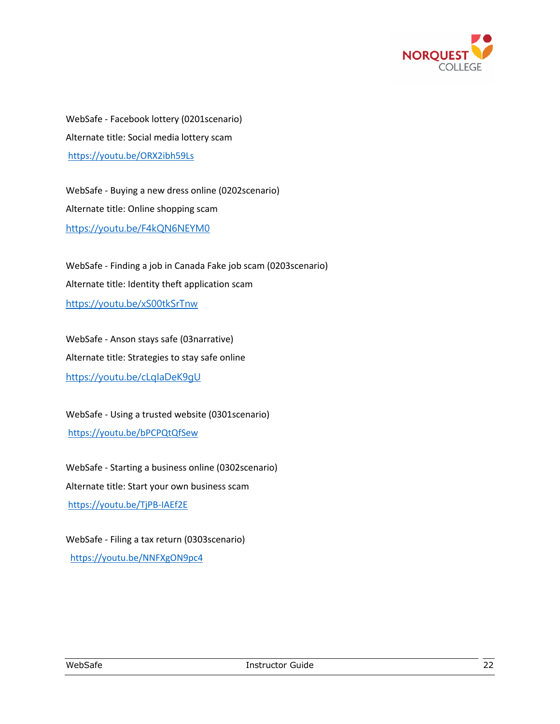

WebSafe - Facebook lottery (0201scenario) Alternate title: Social media lottery scam https://youtu.be/ORX2ibh59Ls

WebSafe - Buying a new dress online (0202scenario) Alternate title: Online shopping scam https://youtu.be/F4kQN6NEYM0

WebSafe - Finding a job in Canada Fake job scam (0203scenario) Alternate title: Identity theft application scam https://youtu.be/xS00tkSrTnw

WebSafe - Anson stays safe (03narrative) Alternate title: Strategies to stay safe online https://youtu.be/cLqIaDeK9gU

WebSafe - Using a trusted website (0301scenario) https://youtu.be/bPCPQtQfSew

WebSafe - Starting a business online (0302scenario) Alternate title: Start your own business scam https://youtu.be/TjPB-IAEf2E

WebSafe - Filing a tax return (0303scenario) https://youtu.be/NNFXgON9pc4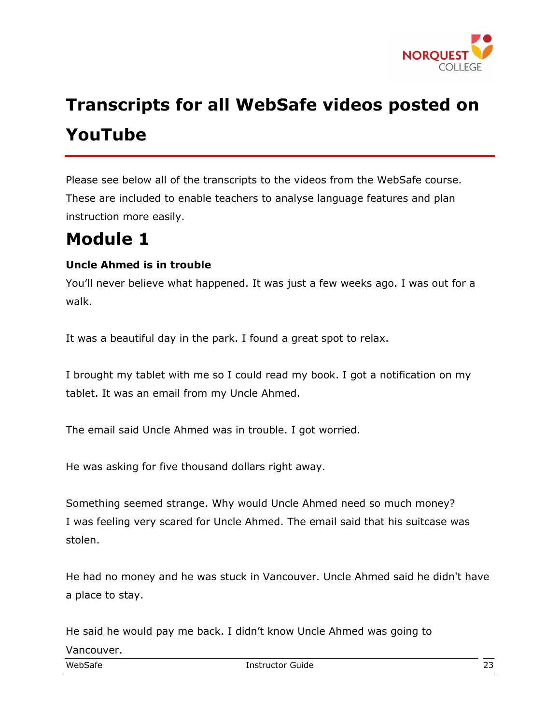

## **Transcripts for all WebSafe videos posted on YouTube**

Please see below all of the transcripts to the videos from the WebSafe course. These are included to enable teachers to analyse language features and plan instruction more easily.

## **Module 1**

#### **Uncle Ahmed is in trouble**

You'll never believe what happened. It was just a few weeks ago. I was out for a walk.

It was a beautiful day in the park. I found a great spot to relax.

I brought my tablet with me so I could read my book. I got a notification on my tablet. It was an email from my Uncle Ahmed.

The email said Uncle Ahmed was in trouble. I got worried.

He was asking for five thousand dollars right away.

Something seemed strange. Why would Uncle Ahmed need so much money? I was feeling very scared for Uncle Ahmed. The email said that his suitcase was stolen.

He had no money and he was stuck in Vancouver. Uncle Ahmed said he didn't have a place to stay.

He said he would pay me back. I didn't know Uncle Ahmed was going to Vancouver.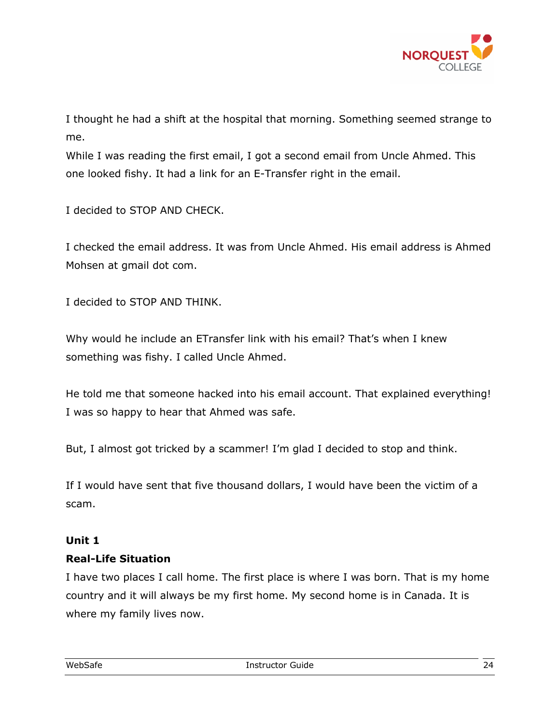

I thought he had a shift at the hospital that morning. Something seemed strange to me.

While I was reading the first email, I got a second email from Uncle Ahmed. This one looked fishy. It had a link for an E-Transfer right in the email.

I decided to STOP AND CHECK.

I checked the email address. It was from Uncle Ahmed. His email address is Ahmed Mohsen at gmail dot com.

I decided to STOP AND THINK.

Why would he include an ETransfer link with his email? That's when I knew something was fishy. I called Uncle Ahmed.

He told me that someone hacked into his email account. That explained everything! I was so happy to hear that Ahmed was safe.

But, I almost got tricked by a scammer! I'm glad I decided to stop and think.

If I would have sent that five thousand dollars, I would have been the victim of a scam.

#### **Unit 1**

#### **Real-Life Situation**

I have two places I call home. The first place is where I was born. That is my home country and it will always be my first home. My second home is in Canada. It is where my family lives now.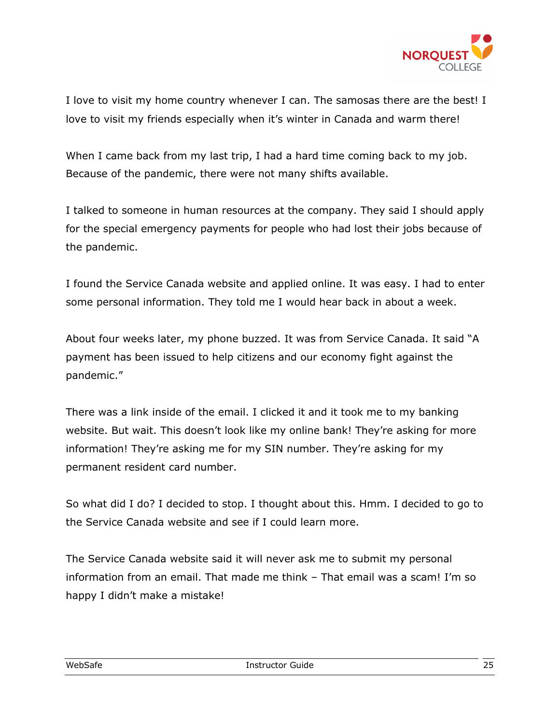

I love to visit my home country whenever I can. The samosas there are the best! I love to visit my friends especially when it's winter in Canada and warm there!

When I came back from my last trip, I had a hard time coming back to my job. Because of the pandemic, there were not many shifts available.

I talked to someone in human resources at the company. They said I should apply for the special emergency payments for people who had lost their jobs because of the pandemic.

I found the Service Canada website and applied online. It was easy. I had to enter some personal information. They told me I would hear back in about a week.

About four weeks later, my phone buzzed. It was from Service Canada. It said "A payment has been issued to help citizens and our economy fight against the pandemic."

There was a link inside of the email. I clicked it and it took me to my banking website. But wait. This doesn't look like my online bank! They're asking for more information! They're asking me for my SIN number. They're asking for my permanent resident card number.

So what did I do? I decided to stop. I thought about this. Hmm. I decided to go to the Service Canada website and see if I could learn more.

The Service Canada website said it will never ask me to submit my personal information from an email. That made me think – That email was a scam! I'm so happy I didn't make a mistake!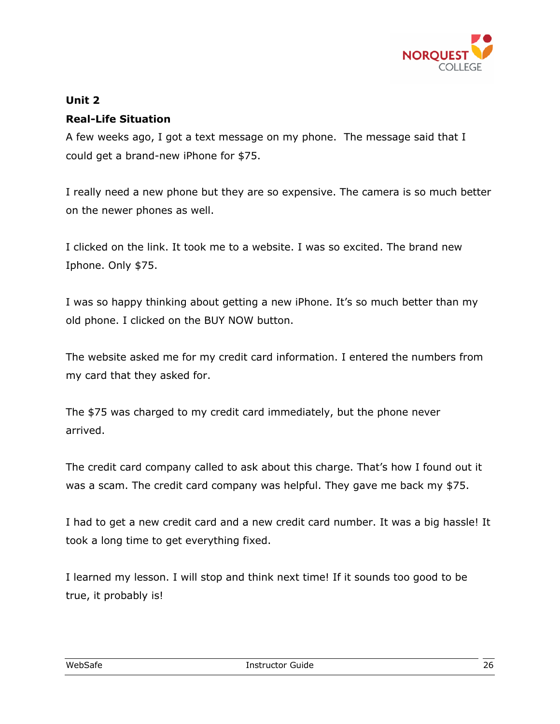

#### **Unit 2**

#### **Real-Life Situation**

A few weeks ago, I got a text message on my phone. The message said that I could get a brand-new iPhone for \$75.

I really need a new phone but they are so expensive. The camera is so much better on the newer phones as well.

I clicked on the link. It took me to a website. I was so excited. The brand new Iphone. Only \$75.

I was so happy thinking about getting a new iPhone. It's so much better than my old phone. I clicked on the BUY NOW button.

The website asked me for my credit card information. I entered the numbers from my card that they asked for.

The \$75 was charged to my credit card immediately, but the phone never arrived.

The credit card company called to ask about this charge. That's how I found out it was a scam. The credit card company was helpful. They gave me back my \$75.

I had to get a new credit card and a new credit card number. It was a big hassle! It took a long time to get everything fixed.

I learned my lesson. I will stop and think next time! If it sounds too good to be true, it probably is!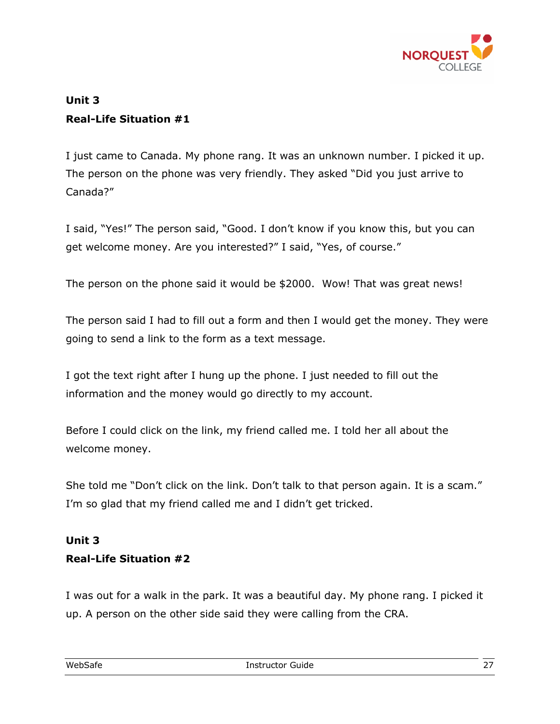

#### **Unit 3 Real-Life Situation #1**

I just came to Canada. My phone rang. It was an unknown number. I picked it up. The person on the phone was very friendly. They asked "Did you just arrive to Canada?"

I said, "Yes!" The person said, "Good. I don't know if you know this, but you can get welcome money. Are you interested?" I said, "Yes, of course."

The person on the phone said it would be \$2000. Wow! That was great news!

The person said I had to fill out a form and then I would get the money. They were going to send a link to the form as a text message.

I got the text right after I hung up the phone. I just needed to fill out the information and the money would go directly to my account.

Before I could click on the link, my friend called me. I told her all about the welcome money.

She told me "Don't click on the link. Don't talk to that person again. It is a scam." I'm so glad that my friend called me and I didn't get tricked.

#### **Unit 3 Real-Life Situation #2**

I was out for a walk in the park. It was a beautiful day. My phone rang. I picked it up. A person on the other side said they were calling from the CRA.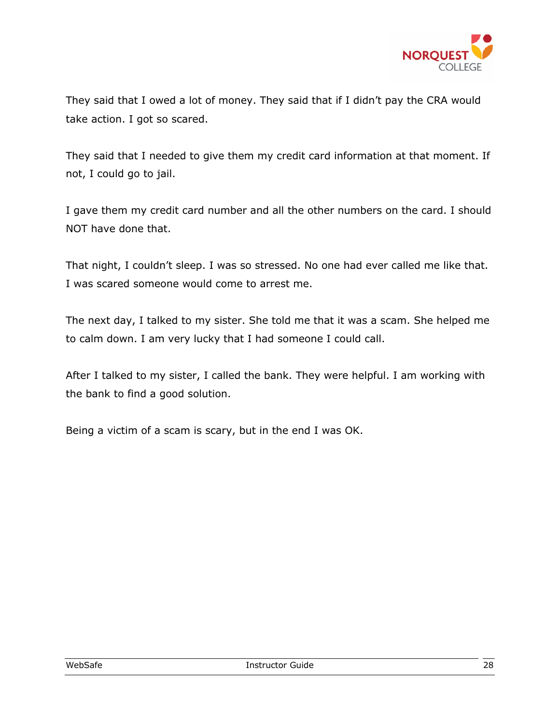

They said that I owed a lot of money. They said that if I didn't pay the CRA would take action. I got so scared.

They said that I needed to give them my credit card information at that moment. If not, I could go to jail.

I gave them my credit card number and all the other numbers on the card. I should NOT have done that.

That night, I couldn't sleep. I was so stressed. No one had ever called me like that. I was scared someone would come to arrest me.

The next day, I talked to my sister. She told me that it was a scam. She helped me to calm down. I am very lucky that I had someone I could call.

After I talked to my sister, I called the bank. They were helpful. I am working with the bank to find a good solution.

Being a victim of a scam is scary, but in the end I was OK.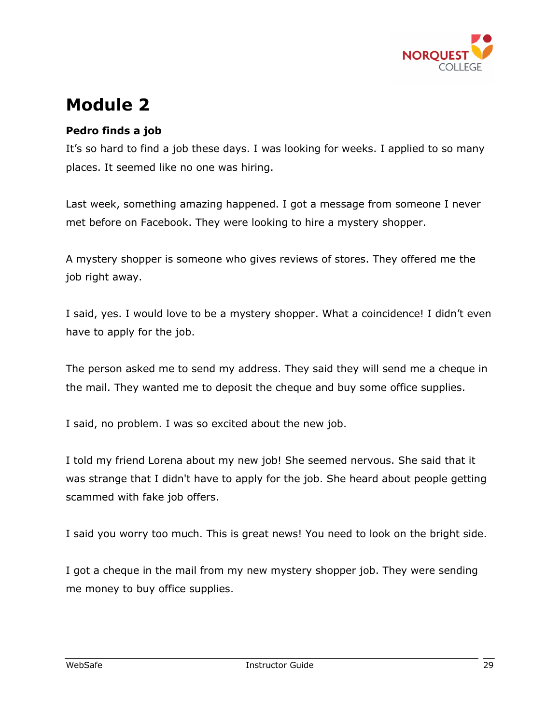

## **Module 2**

#### **Pedro finds a job**

It's so hard to find a job these days. I was looking for weeks. I applied to so many places. It seemed like no one was hiring.

Last week, something amazing happened. I got a message from someone I never met before on Facebook. They were looking to hire a mystery shopper.

A mystery shopper is someone who gives reviews of stores. They offered me the job right away.

I said, yes. I would love to be a mystery shopper. What a coincidence! I didn't even have to apply for the job.

The person asked me to send my address. They said they will send me a cheque in the mail. They wanted me to deposit the cheque and buy some office supplies.

I said, no problem. I was so excited about the new job.

I told my friend Lorena about my new job! She seemed nervous. She said that it was strange that I didn't have to apply for the job. She heard about people getting scammed with fake job offers.

I said you worry too much. This is great news! You need to look on the bright side.

I got a cheque in the mail from my new mystery shopper job. They were sending me money to buy office supplies.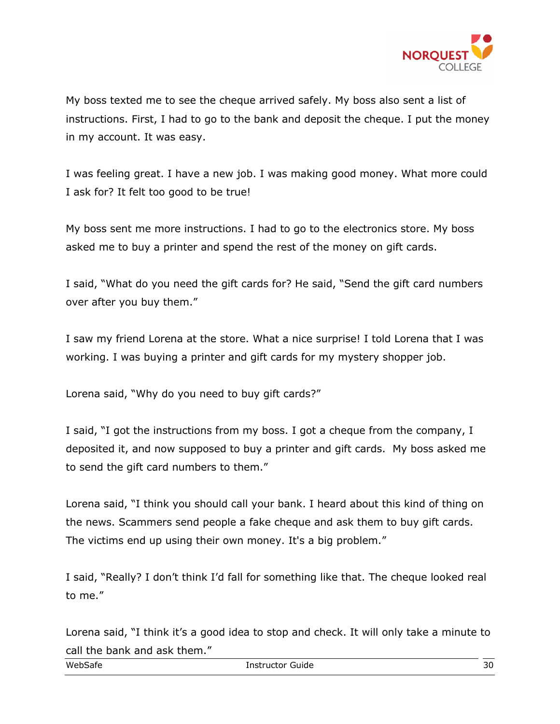

My boss texted me to see the cheque arrived safely. My boss also sent a list of instructions. First, I had to go to the bank and deposit the cheque. I put the money in my account. It was easy.

I was feeling great. I have a new job. I was making good money. What more could I ask for? It felt too good to be true!

My boss sent me more instructions. I had to go to the electronics store. My boss asked me to buy a printer and spend the rest of the money on gift cards.

I said, "What do you need the gift cards for? He said, "Send the gift card numbers over after you buy them."

I saw my friend Lorena at the store. What a nice surprise! I told Lorena that I was working. I was buying a printer and gift cards for my mystery shopper job.

Lorena said, "Why do you need to buy gift cards?"

I said, "I got the instructions from my boss. I got a cheque from the company, I deposited it, and now supposed to buy a printer and gift cards. My boss asked me to send the gift card numbers to them."

Lorena said, "I think you should call your bank. I heard about this kind of thing on the news. Scammers send people a fake cheque and ask them to buy gift cards. The victims end up using their own money. It's a big problem."

I said, "Really? I don't think I'd fall for something like that. The cheque looked real to me."

Lorena said, "I think it's a good idea to stop and check. It will only take a minute to call the bank and ask them."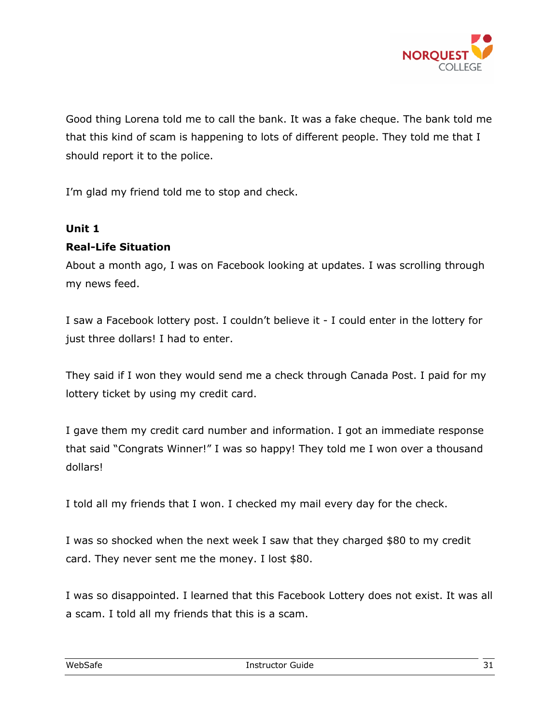

Good thing Lorena told me to call the bank. It was a fake cheque. The bank told me that this kind of scam is happening to lots of different people. They told me that I should report it to the police.

I'm glad my friend told me to stop and check.

#### **Unit 1**

#### **Real-Life Situation**

About a month ago, I was on Facebook looking at updates. I was scrolling through my news feed.

I saw a Facebook lottery post. I couldn't believe it - I could enter in the lottery for just three dollars! I had to enter.

They said if I won they would send me a check through Canada Post. I paid for my lottery ticket by using my credit card.

I gave them my credit card number and information. I got an immediate response that said "Congrats Winner!" I was so happy! They told me I won over a thousand dollars!

I told all my friends that I won. I checked my mail every day for the check.

I was so shocked when the next week I saw that they charged \$80 to my credit card. They never sent me the money. I lost \$80.

I was so disappointed. I learned that this Facebook Lottery does not exist. It was all a scam. I told all my friends that this is a scam.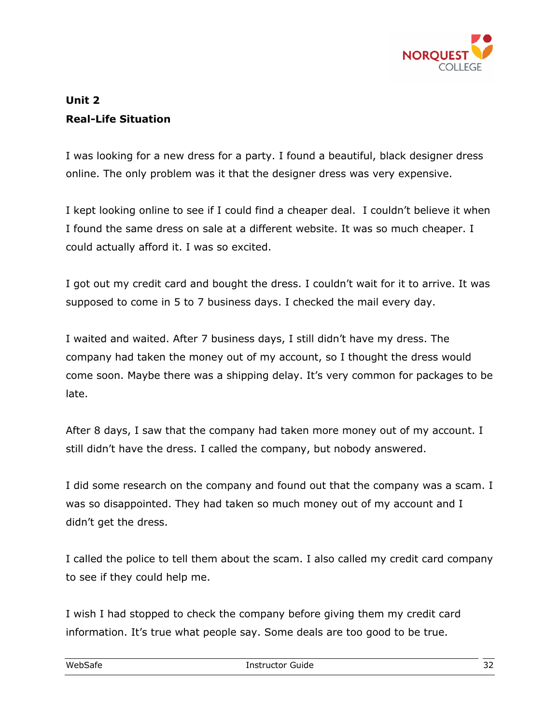

#### **Unit 2 Real-Life Situation**

I was looking for a new dress for a party. I found a beautiful, black designer dress online. The only problem was it that the designer dress was very expensive.

I kept looking online to see if I could find a cheaper deal. I couldn't believe it when I found the same dress on sale at a different website. It was so much cheaper. I could actually afford it. I was so excited.

I got out my credit card and bought the dress. I couldn't wait for it to arrive. It was supposed to come in 5 to 7 business days. I checked the mail every day.

I waited and waited. After 7 business days, I still didn't have my dress. The company had taken the money out of my account, so I thought the dress would come soon. Maybe there was a shipping delay. It's very common for packages to be late.

After 8 days, I saw that the company had taken more money out of my account. I still didn't have the dress. I called the company, but nobody answered.

I did some research on the company and found out that the company was a scam. I was so disappointed. They had taken so much money out of my account and I didn't get the dress.

I called the police to tell them about the scam. I also called my credit card company to see if they could help me.

I wish I had stopped to check the company before giving them my credit card information. It's true what people say. Some deals are too good to be true.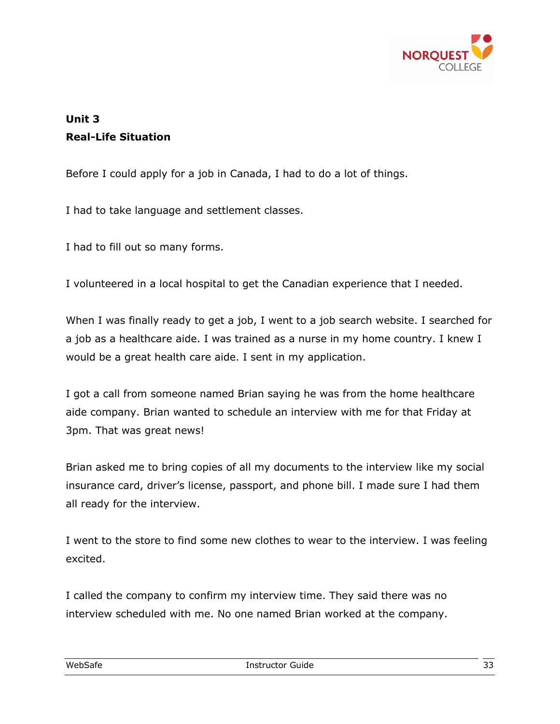

#### **Unit 3 Real-Life Situation**

Before I could apply for a job in Canada, I had to do a lot of things.

I had to take language and settlement classes.

I had to fill out so many forms.

I volunteered in a local hospital to get the Canadian experience that I needed.

When I was finally ready to get a job, I went to a job search website. I searched for a job as a healthcare aide. I was trained as a nurse in my home country. I knew I would be a great health care aide. I sent in my application.

I got a call from someone named Brian saying he was from the home healthcare aide company. Brian wanted to schedule an interview with me for that Friday at 3pm. That was great news!

Brian asked me to bring copies of all my documents to the interview like my social insurance card, driver's license, passport, and phone bill. I made sure I had them all ready for the interview.

I went to the store to find some new clothes to wear to the interview. I was feeling excited.

I called the company to confirm my interview time. They said there was no interview scheduled with me. No one named Brian worked at the company.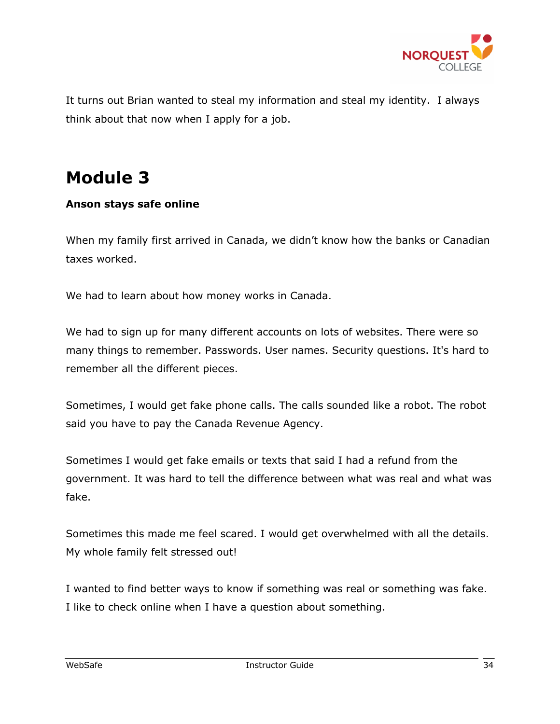

It turns out Brian wanted to steal my information and steal my identity. I always think about that now when I apply for a job.

## **Module 3**

#### **Anson stays safe online**

When my family first arrived in Canada, we didn't know how the banks or Canadian taxes worked.

We had to learn about how money works in Canada.

We had to sign up for many different accounts on lots of websites. There were so many things to remember. Passwords. User names. Security questions. It's hard to remember all the different pieces.

Sometimes, I would get fake phone calls. The calls sounded like a robot. The robot said you have to pay the Canada Revenue Agency.

Sometimes I would get fake emails or texts that said I had a refund from the government. It was hard to tell the difference between what was real and what was fake.

Sometimes this made me feel scared. I would get overwhelmed with all the details. My whole family felt stressed out!

I wanted to find better ways to know if something was real or something was fake. I like to check online when I have a question about something.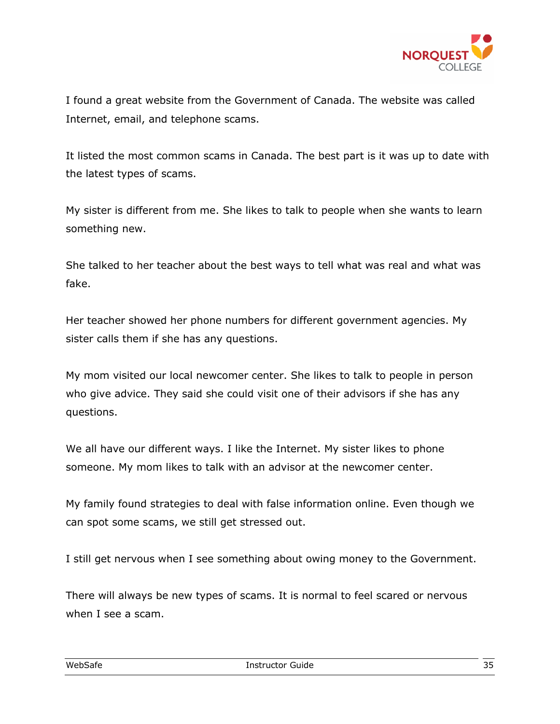

I found a great website from the Government of Canada. The website was called Internet, email, and telephone scams.

It listed the most common scams in Canada. The best part is it was up to date with the latest types of scams.

My sister is different from me. She likes to talk to people when she wants to learn something new.

She talked to her teacher about the best ways to tell what was real and what was fake.

Her teacher showed her phone numbers for different government agencies. My sister calls them if she has any questions.

My mom visited our local newcomer center. She likes to talk to people in person who give advice. They said she could visit one of their advisors if she has any questions.

We all have our different ways. I like the Internet. My sister likes to phone someone. My mom likes to talk with an advisor at the newcomer center.

My family found strategies to deal with false information online. Even though we can spot some scams, we still get stressed out.

I still get nervous when I see something about owing money to the Government.

There will always be new types of scams. It is normal to feel scared or nervous when I see a scam.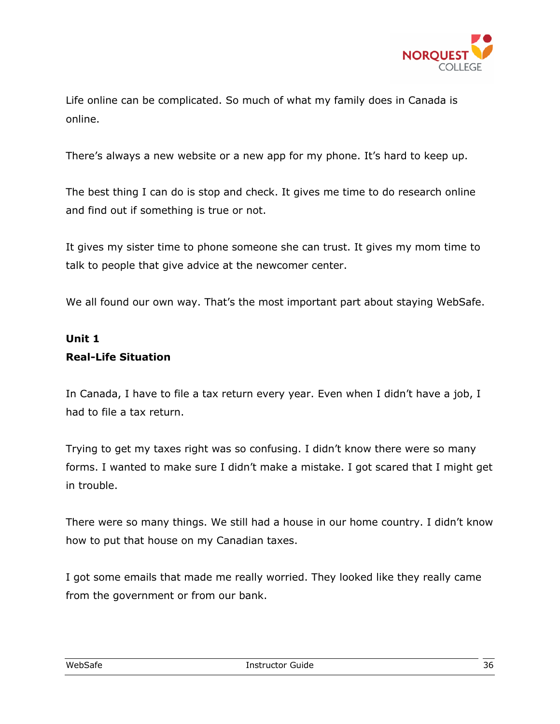

Life online can be complicated. So much of what my family does in Canada is online.

There's always a new website or a new app for my phone. It's hard to keep up.

The best thing I can do is stop and check. It gives me time to do research online and find out if something is true or not.

It gives my sister time to phone someone she can trust. It gives my mom time to talk to people that give advice at the newcomer center.

We all found our own way. That's the most important part about staying WebSafe.

#### **Unit 1 Real-Life Situation**

In Canada, I have to file a tax return every year. Even when I didn't have a job, I had to file a tax return.

Trying to get my taxes right was so confusing. I didn't know there were so many forms. I wanted to make sure I didn't make a mistake. I got scared that I might get in trouble.

There were so many things. We still had a house in our home country. I didn't know how to put that house on my Canadian taxes.

I got some emails that made me really worried. They looked like they really came from the government or from our bank.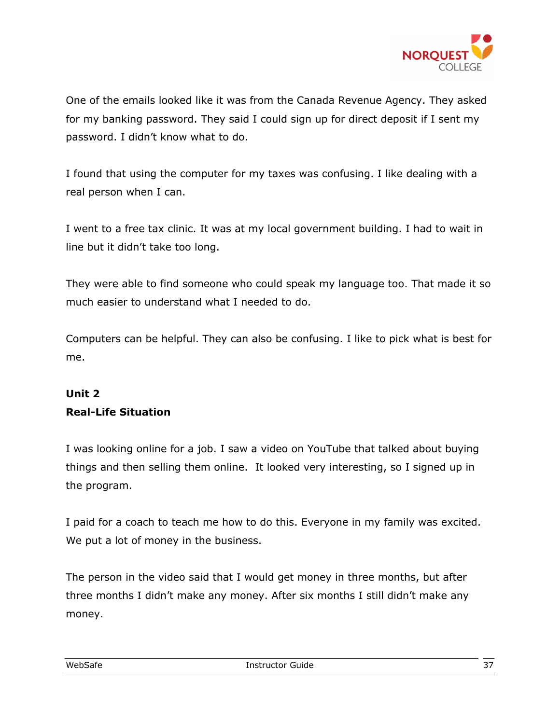

One of the emails looked like it was from the Canada Revenue Agency. They asked for my banking password. They said I could sign up for direct deposit if I sent my password. I didn't know what to do.

I found that using the computer for my taxes was confusing. I like dealing with a real person when I can.

I went to a free tax clinic. It was at my local government building. I had to wait in line but it didn't take too long.

They were able to find someone who could speak my language too. That made it so much easier to understand what I needed to do.

Computers can be helpful. They can also be confusing. I like to pick what is best for me.

#### **Unit 2 Real-Life Situation**

I was looking online for a job. I saw a video on YouTube that talked about buying things and then selling them online. It looked very interesting, so I signed up in the program.

I paid for a coach to teach me how to do this. Everyone in my family was excited. We put a lot of money in the business.

The person in the video said that I would get money in three months, but after three months I didn't make any money. After six months I still didn't make any money.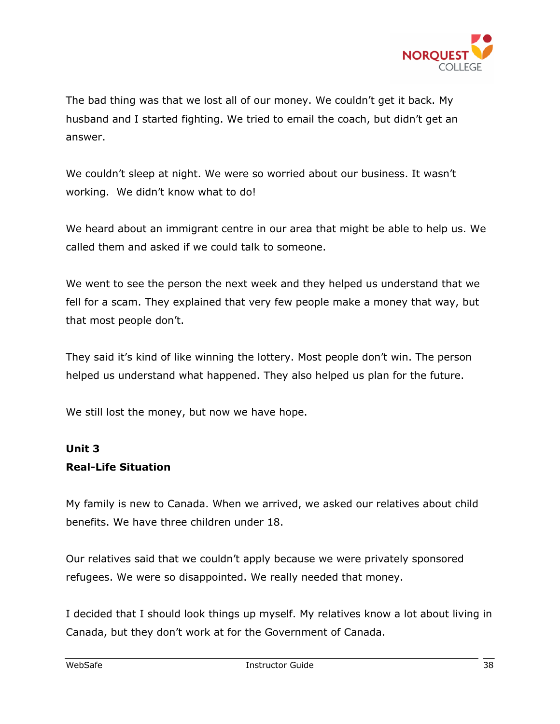

The bad thing was that we lost all of our money. We couldn't get it back. My husband and I started fighting. We tried to email the coach, but didn't get an answer.

We couldn't sleep at night. We were so worried about our business. It wasn't working. We didn't know what to do!

We heard about an immigrant centre in our area that might be able to help us. We called them and asked if we could talk to someone.

We went to see the person the next week and they helped us understand that we fell for a scam. They explained that very few people make a money that way, but that most people don't.

They said it's kind of like winning the lottery. Most people don't win. The person helped us understand what happened. They also helped us plan for the future.

We still lost the money, but now we have hope.

#### **Unit 3 Real-Life Situation**

My family is new to Canada. When we arrived, we asked our relatives about child benefits. We have three children under 18.

Our relatives said that we couldn't apply because we were privately sponsored refugees. We were so disappointed. We really needed that money.

I decided that I should look things up myself. My relatives know a lot about living in Canada, but they don't work at for the Government of Canada.

| WebSafe<br>- - - - - | The Tructor<br>' Guide<br>____<br>. | 38 |
|----------------------|-------------------------------------|----|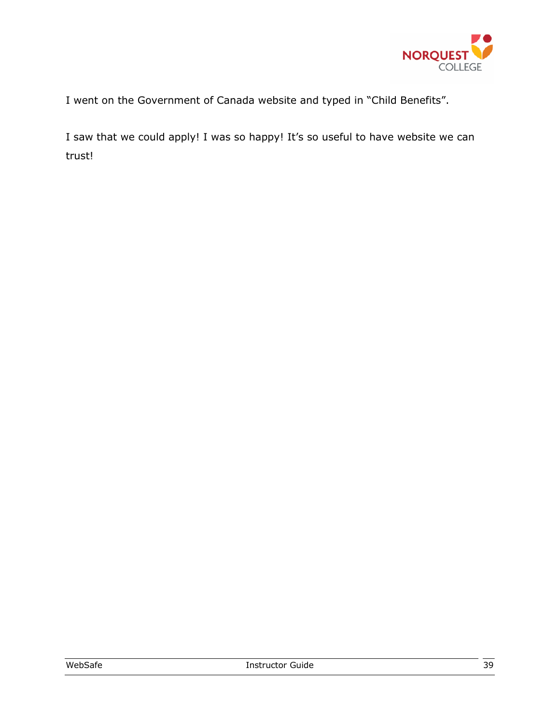

I went on the Government of Canada website and typed in "Child Benefits".

I saw that we could apply! I was so happy! It's so useful to have website we can trust!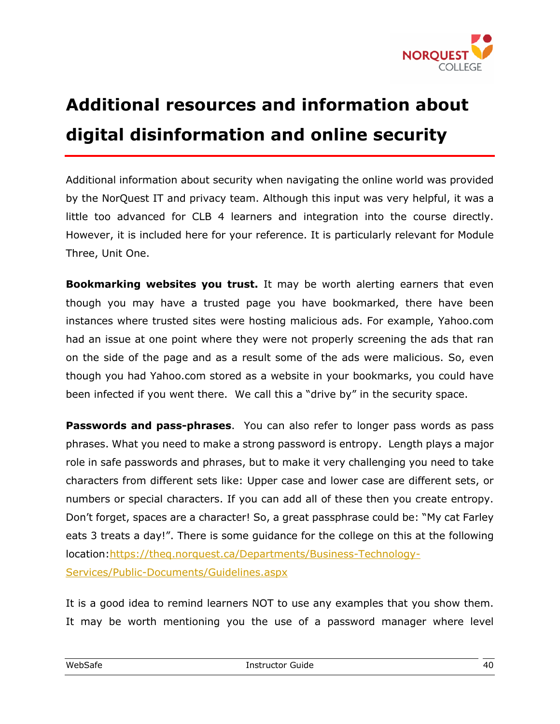

## **Additional resources and information about digital disinformation and online security**

Additional information about security when navigating the online world was provided by the NorQuest IT and privacy team. Although this input was very helpful, it was a little too advanced for CLB 4 learners and integration into the course directly. However, it is included here for your reference. It is particularly relevant for Module Three, Unit One.

**Bookmarking websites you trust.** It may be worth alerting earners that even though you may have a trusted page you have bookmarked, there have been instances where trusted sites were hosting malicious ads. For example, Yahoo.com had an issue at one point where they were not properly screening the ads that ran on the side of the page and as a result some of the ads were malicious. So, even though you had Yahoo.com stored as a website in your bookmarks, you could have been infected if you went there. We call this a "drive by" in the security space.

**Passwords and pass-phrases**. You can also refer to longer pass words as pass phrases. What you need to make a strong password is entropy. Length plays a major role in safe passwords and phrases, but to make it very challenging you need to take characters from different sets like: Upper case and lower case are different sets, or numbers or special characters. If you can add all of these then you create entropy. Don't forget, spaces are a character! So, a great passphrase could be: "My cat Farley eats 3 treats a day!". There is some guidance for the college on this at the following location:https://theq.norquest.ca/Departments/Business-Technology-Services/Public-Documents/Guidelines.aspx

It is a good idea to remind learners NOT to use any examples that you show them. It may be worth mentioning you the use of a password manager where level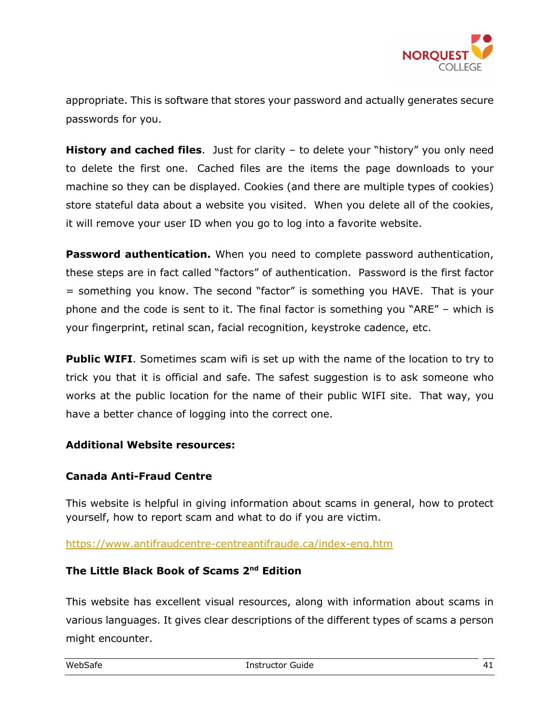

appropriate. This is software that stores your password and actually generates secure passwords for you.

**History and cached files**. Just for clarity – to delete your "history" you only need to delete the first one. Cached files are the items the page downloads to your machine so they can be displayed. Cookies (and there are multiple types of cookies) store stateful data about a website you visited. When you delete all of the cookies, it will remove your user ID when you go to log into a favorite website.

**Password authentication.** When you need to complete password authentication, these steps are in fact called "factors" of authentication. Password is the first factor = something you know. The second "factor" is something you HAVE. That is your phone and the code is sent to it. The final factor is something you "ARE" – which is your fingerprint, retinal scan, facial recognition, keystroke cadence, etc.

**Public WIFI**. Sometimes scam wifi is set up with the name of the location to try to trick you that it is official and safe. The safest suggestion is to ask someone who works at the public location for the name of their public WIFI site. That way, you have a better chance of logging into the correct one.

#### **Additional Website resources:**

#### **Canada Anti-Fraud Centre**

This website is helpful in giving information about scams in general, how to protect yourself, how to report scam and what to do if you are victim.

https://www.antifraudcentre-centreantifraude.ca/index-eng.htm

#### **The Little Black Book of Scams 2nd Edition**

This website has excellent visual resources, along with information about scams in various languages. It gives clear descriptions of the different types of scams a person might encounter.